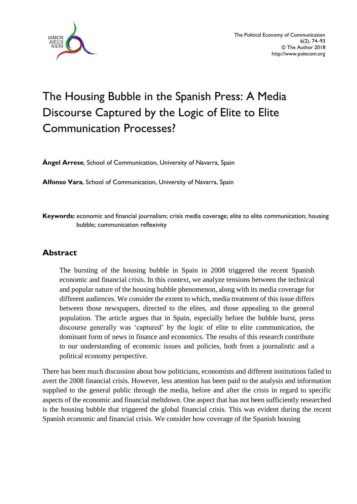

# The Housing Bubble in the Spanish Press: A Media Discourse Captured by the Logic of Elite to Elite Communication Processes?

**Ángel Arrese**, School of Communication, University of Navarra, Spain

**Alfonso Vara**, School of Communication, University of Navarra, Spain

**Keywords:** economic and financial journalism; crisis media coverage; elite to elite communication; housing bubble; communication reflexivity

## **Abstract**

The bursting of the housing bubble in Spain in 2008 triggered the recent Spanish economic and financial crisis. In this context, we analyze tensions between the technical and popular nature of the housing bubble phenomenon, along with its media coverage for different audiences. We consider the extent to which, media treatment of this issue differs between those newspapers, directed to the elites, and those appealing to the general population. The article argues that in Spain, especially before the bubble burst, press discourse generally was 'captured' by the logic of elite to elite communication, the dominant form of news in finance and economics. The results of this research contribute to our understanding of economic issues and policies, both from a journalistic and a political economy perspective.

There has been much discussion about how politicians, economists and different institutions failed to avert the 2008 financial crisis. However, less attention has been paid to the analysis and information supplied to the general public through the media, before and after the crisis in regard to specific aspects of the economic and financial meltdown. One aspect that has not been sufficiently researched is the housing bubble that triggered the global financial crisis. This was evident during the recent Spanish economic and financial crisis. We consider how coverage of the Spanish housing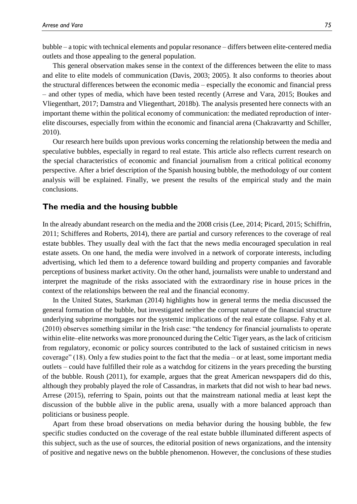bubble – a topic with technical elements and popular resonance – differs between elite-centered media outlets and those appealing to the general population.

This general observation makes sense in the context of the differences between the elite to mass and elite to elite models of communication (Davis, 2003; 2005). It also conforms to theories about the structural differences between the economic media – especially the economic and financial press – and other types of media, which have been tested recently (Arrese and Vara, 2015; Boukes and Vliegenthart, 2017; Damstra and Vliegenthart, 2018b). The analysis presented here connects with an important theme within the political economy of communication: the mediated reproduction of interelite discourses, especially from within the economic and financial arena (Chakravartty and Schiller, 2010).

Our research here builds upon previous works concerning the relationship between the media and speculative bubbles, especially in regard to real estate. This article also reflects current research on the special characteristics of economic and financial journalism from a critical political economy perspective. After a brief description of the Spanish housing bubble, the methodology of our content analysis will be explained. Finally, we present the results of the empirical study and the main conclusions.

#### **The media and the housing bubble**

In the already abundant research on the media and the 2008 crisis (Lee, 2014; Picard, 2015; Schiffrin, 2011; Schifferes and Roberts, 2014), there are partial and cursory references to the coverage of real estate bubbles. They usually deal with the fact that the news media encouraged speculation in real estate assets. On one hand, the media were involved in a network of corporate interests, including advertising, which led them to a deference toward building and property companies and favorable perceptions of business market activity. On the other hand, journalists were unable to understand and interpret the magnitude of the risks associated with the extraordinary rise in house prices in the context of the relationships between the real and the financial economy.

In the United States, Starkman (2014) highlights how in general terms the media discussed the general formation of the bubble, but investigated neither the corrupt nature of the financial structure underlying subprime mortgages nor the systemic implications of the real estate collapse. Fahy et al. (2010) observes something similar in the Irish case: "the tendency for financial journalists to operate within elite–elite networks was more pronounced during the Celtic Tiger years, as the lack of criticism from regulatory, economic or policy sources contributed to the lack of sustained criticism in news coverage" (18). Only a few studies point to the fact that the media – or at least, some important media outlets – could have fulfilled their role as a watchdog for citizens in the years preceding the bursting of the bubble. Roush (2011), for example, argues that the great American newspapers did do this, although they probably played the role of Cassandras, in markets that did not wish to hear bad news. Arrese (2015), referring to Spain, points out that the mainstream national media at least kept the discussion of the bubble alive in the public arena, usually with a more balanced approach than politicians or business people.

Apart from these broad observations on media behavior during the housing bubble, the few specific studies conducted on the coverage of the real estate bubble illuminated different aspects of this subject, such as the use of sources, the editorial position of news organizations, and the intensity of positive and negative news on the bubble phenomenon. However, the conclusions of these studies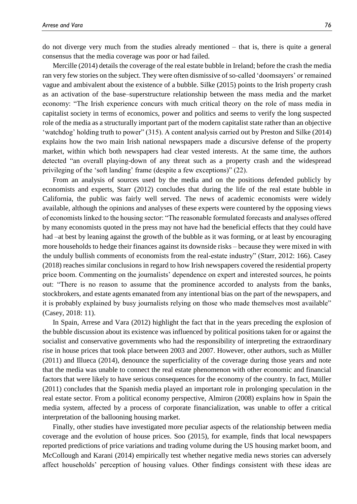do not diverge very much from the studies already mentioned – that is, there is quite a general consensus that the media coverage was poor or had failed.

Mercille (2014) details the coverage of the real estate bubble in Ireland; before the crash the media ran very few stories on the subject. They were often dismissive of so-called 'doomsayers' or remained vague and ambivalent about the existence of a bubble. Silke (2015) points to the Irish property crash as an activation of the base–superstructure relationship between the mass media and the market economy: "The Irish experience concurs with much critical theory on the role of mass media in capitalist society in terms of economics, power and politics and seems to verify the long suspected role of the media as a structurally important part of the modern capitalist state rather than an objective 'watchdog' holding truth to power" (315). A content analysis carried out by Preston and Silke (2014) explains how the two main Irish national newspapers made a discursive defense of the property market, within which both newspapers had clear vested interests. At the same time, the authors detected "an overall playing-down of any threat such as a property crash and the widespread privileging of the 'soft landing' frame (despite a few exceptions)" (22).

From an analysis of sources used by the media and on the positions defended publicly by economists and experts, Starr (2012) concludes that during the life of the real estate bubble in California, the public was fairly well served. The news of academic economists were widely available, although the opinions and analyses of these experts were countered by the opposing views of economists linked to the housing sector: "The reasonable formulated forecasts and analyses offered by many economists quoted in the press may not have had the beneficial effects that they could have had –at best by leaning against the growth of the bubble as it was forming, or at least by encouraging more households to hedge their finances against its downside risks – because they were mixed in with the unduly bullish comments of economists from the real-estate industry" (Starr, 2012: 166). Casey (2018) reaches similar conclusions in regard to how Irish newspapers covered the residential property price boom. Commenting on the journalists' dependence on expert and interested sources, he points out: "There is no reason to assume that the prominence accorded to analysts from the banks, stockbrokers, and estate agents emanated from any intentional bias on the part of the newspapers, and it is probably explained by busy journalists relying on those who made themselves most available" (Casey, 2018: 11).

In Spain, Arrese and Vara (2012) highlight the fact that in the years preceding the explosion of the bubble discussion about its existence was influenced by political positions taken for or against the socialist and conservative governments who had the responsibility of interpreting the extraordinary rise in house prices that took place between 2003 and 2007. However, other authors, such as Müller (2011) and Illueca (2014), denounce the superficiality of the coverage during those years and note that the media was unable to connect the real estate phenomenon with other economic and financial factors that were likely to have serious consequences for the economy of the country. In fact, Müller (2011) concludes that the Spanish media played an important role in prolonging speculation in the real estate sector. From a political economy perspective, Almiron (2008) explains how in Spain the media system, affected by a process of corporate financialization, was unable to offer a critical interpretation of the ballooning housing market.

Finally, other studies have investigated more peculiar aspects of the relationship between media coverage and the evolution of house prices. Soo (2015), for example, finds that local newspapers reported predictions of price variations and trading volume during the US housing market boom, and McCollough and Karani (2014) empirically test whether negative media news stories can adversely affect households' perception of housing values. Other findings consistent with these ideas are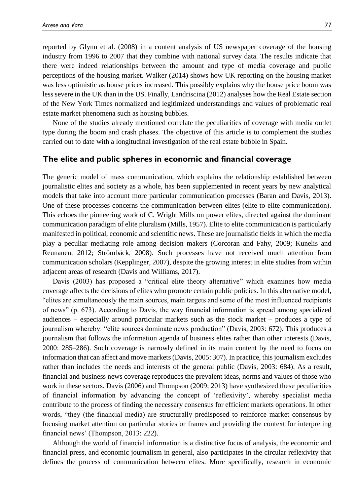reported by Glynn et al. (2008) in a content analysis of US newspaper coverage of the housing industry from 1996 to 2007 that they combine with national survey data. The results indicate that there were indeed relationships between the amount and type of media coverage and public perceptions of the housing market. Walker (2014) shows how UK reporting on the housing market was less optimistic as house prices increased. This possibly explains why the house price boom was less severe in the UK than in the US. Finally, Landriscina (2012) analyses how the Real Estate section of the New York Times normalized and legitimized understandings and values of problematic real estate market phenomena such as housing bubbles.

None of the studies already mentioned correlate the peculiarities of coverage with media outlet type during the boom and crash phases. The objective of this article is to complement the studies carried out to date with a longitudinal investigation of the real estate bubble in Spain.

#### **The elite and public spheres in economic and financial coverage**

The generic model of mass communication, which explains the relationship established between journalistic elites and society as a whole, has been supplemented in recent years by new analytical models that take into account more particular communication processes (Baran and Davis, 2013). One of these processes concerns the communication between elites (elite to elite communication). This echoes the pioneering work of C. Wright Mills on power elites, directed against the dominant communication paradigm of elite pluralism (Mills, 1957). Elite to elite communication is particularly manifested in political, economic and scientific news. These are journalistic fields in which the media play a peculiar mediating role among decision makers (Corcoran and Fahy, 2009; Kunelis and Reunanen, 2012; Strömbäck, 2008). Such processes have not received much attention from communication scholars (Kepplinger, 2007), despite the growing interest in elite studies from within adjacent areas of research (Davis and Williams, 2017).

Davis (2003) has proposed a "critical elite theory alternative" which examines how media coverage affects the decisions of elites who promote certain public policies. In this alternative model, "elites are simultaneously the main sources, main targets and some of the most influenced recipients of news" (p. 673). According to Davis, the way financial information is spread among specialized audiences – especially around particular markets such as the stock market – produces a type of journalism whereby: "elite sources dominate news production" (Davis, 2003: 672). This produces a journalism that follows the information agenda of business elites rather than other interests (Davis, 2000: 285–286). Such coverage is narrowly defined in its main content by the need to focus on information that can affect and move markets (Davis, 2005: 307). In practice, this journalism excludes rather than includes the needs and interests of the general public (Davis, 2003: 684). As a result, financial and business news coverage reproduces the prevalent ideas, norms and values of those who work in these sectors. Davis (2006) and Thompson (2009; 2013) have synthesized these peculiarities of financial information by advancing the concept of 'reflexivity', whereby specialist media contribute to the process of finding the necessary consensus for efficient markets operations. In other words, "they (the financial media) are structurally predisposed to reinforce market consensus by focusing market attention on particular stories or frames and providing the context for interpreting financial news' (Thompson, 2013: 222).

Although the world of financial information is a distinctive focus of analysis, the economic and financial press, and economic journalism in general, also participates in the circular reflexivity that defines the process of communication between elites. More specifically, research in economic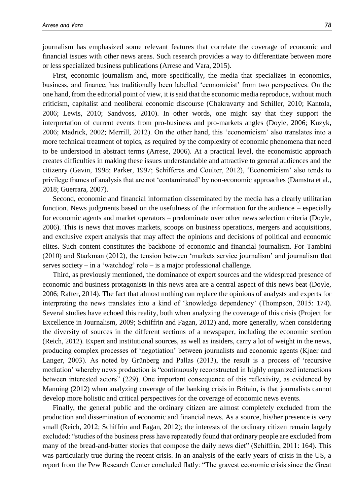journalism has emphasized some relevant features that correlate the coverage of economic and financial issues with other news areas. Such research provides a way to differentiate between more or less specialized business publications (Arrese and Vara, 2015).

First, economic journalism and, more specifically, the media that specializes in economics, business, and finance, has traditionally been labelled 'economicist' from two perspectives. On the one hand, from the editorial point of view, it is said that the economic media reproduce, without much criticism, capitalist and neoliberal economic discourse (Chakravarty and Schiller, 2010; Kantola, 2006; Lewis, 2010; Sandvoss, 2010). In other words, one might say that they support the interpretation of current events from pro-business and pro-markets angles (Doyle, 2006; Kuzyk, 2006; Madrick, 2002; Merrill, 2012). On the other hand, this 'economicism' also translates into a more technical treatment of topics, as required by the complexity of economic phenomena that need to be understood in abstract terms (Arrese, 2006). At a practical level, the economistic approach creates difficulties in making these issues understandable and attractive to general audiences and the citizenry (Gavin, 1998; Parker, 1997; Schifferes and Coulter, 2012), 'Economicism' also tends to privilege frames of analysis that are not 'contaminated' by non-economic approaches (Damstra et al., 2018; Guerrara, 2007).

Second, economic and financial information disseminated by the media has a clearly utilitarian function. News judgments based on the usefulness of the information for the audience – especially for economic agents and market operators – predominate over other news selection criteria (Doyle, 2006). This is news that moves markets, scoops on business operations, mergers and acquisitions, and exclusive expert analysis that may affect the opinions and decisions of political and economic elites. Such content constitutes the backbone of economic and financial journalism. For Tambini (2010) and Starkman (2012), the tension between 'markets service journalism' and journalism that serves society – in a 'watchdog' role – is a major professional challenge.

Third, as previously mentioned, the dominance of expert sources and the widespread presence of economic and business protagonists in this news area are a central aspect of this news beat (Doyle, 2006; Rafter, 2014). The fact that almost nothing can replace the opinions of analysts and experts for interpreting the news translates into a kind of 'knowledge dependency' (Thompson, 2015: 174). Several studies have echoed this reality, both when analyzing the coverage of this crisis (Project for Excellence in Journalism, 2009; Schiffrin and Fagan, 2012) and, more generally, when considering the diversity of sources in the different sections of a newspaper, including the economic section (Reich, 2012). Expert and institutional sources, as well as insiders, carry a lot of weight in the news, producing complex processes of 'negotiation' between journalists and economic agents (Kjaer and Langer, 2003). As noted by Grünberg and Pallas (2013), the result is a process of 'recursive mediation' whereby news production is "continuously reconstructed in highly organized interactions between interested actors" (229). One important consequence of this reflexivity, as evidenced by Manning (2012) when analyzing coverage of the banking crisis in Britain, is that journalists cannot develop more holistic and critical perspectives for the coverage of economic news events.

Finally, the general public and the ordinary citizen are almost completely excluded from the production and dissemination of economic and financial news. As a source, his/her presence is very small (Reich, 2012; Schiffrin and Fagan, 2012); the interests of the ordinary citizen remain largely excluded: "studies of the business press have repeatedly found that ordinary people are excluded from many of the bread-and-butter stories that compose the daily news diet" (Schiffrin, 2011: 164). This was particularly true during the recent crisis. In an analysis of the early years of crisis in the US, a report from the Pew Research Center concluded flatly: "The gravest economic crisis since the Great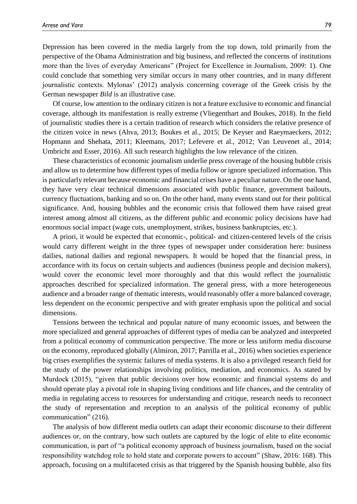Depression has been covered in the media largely from the top down, told primarily from the perspective of the Obama Administration and big business, and reflected the concerns of institutions more than the lives of everyday Americans" (Project for Excellence in Journalism, 2009: 1). One could conclude that something very similar occurs in many other countries, and in many different journalistic contexts. Mylonas' (2012) analysis concerning coverage of the Greek crisis by the German newspaper *Bild* is an illustrative case.

Of course, low attention to the ordinary citizen is not a feature exclusive to economic and financial coverage, although its manifestation is really extreme (Vliegenthart and Boukes, 2018). In the field of journalistic studies there is a certain tradition of research which considers the relative presence of the citizen voice in news (Ahva, 2013; Boukes et al., 2015; De Keyser and Raeymaeckers, 2012; Hopmann and Shehata, 2011; Kleemans, 2017; Lefevere et al., 2012; Van Leuvenet al., 2014; Umbricht and Esser, 2016). All such research highlights the low relevance of the citizen.

These characteristics of economic journalism underlie press coverage of the housing bubble crisis and allow us to determine how different types of media follow or ignore specialized information. This is particularly relevant because economic and financial crises have a peculiar nature. On the one hand, they have very clear technical dimensions associated with public finance, government bailouts, currency fluctuations, banking and so on. On the other hand, many events stand out for their political significance. And, housing bubbles and the economic crisis that followed them have raised great interest among almost all citizens, as the different public and economic policy decisions have had enormous social impact (wage cuts, unemployment, strikes, business bankruptcies, etc.).

A priori, it would be expected that economic-, political- and citizen-centered levels of the crisis would carry different weight in the three types of newspaper under consideration here: business dailies, national dailies and regional newspapers. It would be hoped that the financial press, in accordance with its focus on certain subjects and audiences (business people and decision makers), would cover the economic level more thoroughly and that this would reflect the journalistic approaches described for specialized information. The general press, with a more heterogeneous audience and a broader range of thematic interests, would reasonably offer a more balanced coverage, less dependent on the economic perspective and with greater emphasis upon the political and social dimensions.

Tensions between the technical and popular nature of many economic issues, and between the more specialized and general approaches of different types of media can be analyzed and interpreted from a political economy of communication perspective. The more or less uniform media discourse on the economy, reproduced globally (Almiron, 2017; Parrilla et al., 2016) when societies experience big crises exemplifies the systemic failures of media systems. It is also a privileged research field for the study of the power relationships involving politics, mediation, and economics. As stated by Murdock (2015), "given that public decisions over how economic and financial systems do and should operate play a pivotal role in shaping living conditions and life chances, and the centrality of media in regulating access to resources for understanding and critique, research needs to reconnect the study of representation and reception to an analysis of the political economy of public communication" (216).

The analysis of how different media outlets can adapt their economic discourse to their different audiences or, on the contrary, how such outlets are captured by the logic of elite to elite economic communication, is part of "a political economy approach of business journalism, based on the social responsibility watchdog role to hold state and corporate powers to account" (Shaw, 2016: 168). This approach, focusing on a multifaceted crisis as that triggered by the Spanish housing bubble, also fits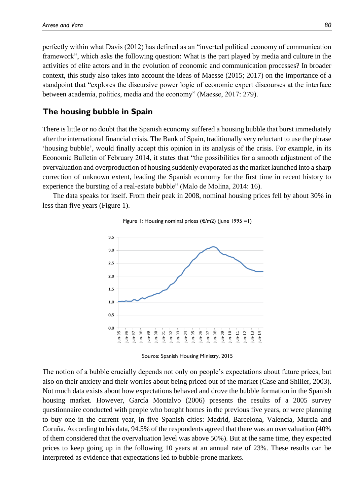perfectly within what Davis (2012) has defined as an "inverted political economy of communication framework", which asks the following question: What is the part played by media and culture in the activities of elite actors and in the evolution of economic and communication processes? In broader context, this study also takes into account the ideas of Maesse (2015; 2017) on the importance of a standpoint that "explores the discursive power logic of economic expert discourses at the interface between academia, politics, media and the economy" (Maesse, 2017: 279).

### **The housing bubble in Spain**

There is little or no doubt that the Spanish economy suffered a housing bubble that burst immediately after the international financial crisis. The Bank of Spain, traditionally very reluctant to use the phrase 'housing bubble', would finally accept this opinion in its analysis of the crisis. For example, in its Economic Bulletin of February 2014, it states that "the possibilities for a smooth adjustment of the overvaluation and overproduction of housing suddenly evaporated as the market launched into a sharp correction of unknown extent, leading the Spanish economy for the first time in recent history to experience the bursting of a real-estate bubble" (Malo de Molina, 2014: 16).

The data speaks for itself. From their peak in 2008, nominal housing prices fell by about 30% in less than five years (Figure 1).





Source: Spanish Housing Ministry, 2015

The notion of a bubble crucially depends not only on people's expectations about future prices, but also on their anxiety and their worries about being priced out of the market (Case and Shiller, 2003). Not much data exists about how expectations behaved and drove the bubble formation in the Spanish housing market. However, García Montalvo (2006) presents the results of a 2005 survey questionnaire conducted with people who bought homes in the previous five years, or were planning to buy one in the current year, in five Spanish cities: Madrid, Barcelona, Valencia, Murcia and Coruña. According to his data, 94.5% of the respondents agreed that there was an overvaluation (40% of them considered that the overvaluation level was above 50%). But at the same time, they expected prices to keep going up in the following 10 years at an annual rate of 23%. These results can be interpreted as evidence that expectations led to bubble-prone markets.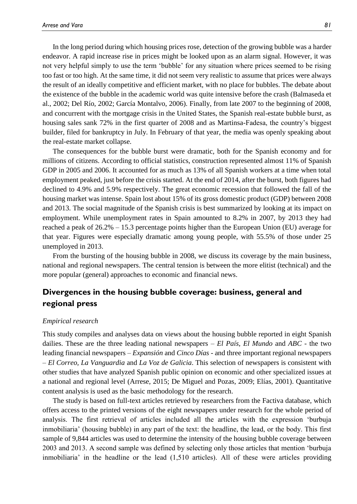In the long period during which housing prices rose, detection of the growing bubble was a harder endeavor. A rapid increase rise in prices might be looked upon as an alarm signal. However, it was not very helpful simply to use the term 'bubble' for any situation where prices seemed to be rising too fast or too high. At the same time, it did not seem very realistic to assume that prices were always the result of an ideally competitive and efficient market, with no place for bubbles. The debate about the existence of the bubble in the academic world was quite intensive before the crash (Balmaseda et al., 2002; Del Río, 2002; García Montalvo, 2006). Finally, from late 2007 to the beginning of 2008, and concurrent with the mortgage crisis in the United States, the Spanish real-estate bubble burst, as housing sales sank 72% in the first quarter of 2008 and as Martinsa-Fadesa, the country's biggest builder, filed for bankruptcy in July. In February of that year, the media was openly speaking about the real-estate market collapse.

The consequences for the bubble burst were dramatic, both for the Spanish economy and for millions of citizens. According to official statistics, construction represented almost 11% of Spanish GDP in 2005 and 2006. It accounted for as much as 13% of all Spanish workers at a time when total employment peaked, just before the crisis started. At the end of 2014, after the burst, both figures had declined to 4.9% and 5.9% respectively. The great economic recession that followed the fall of the housing market was intense. Spain lost about 15% of its gross domestic product (GDP) between 2008 and 2013. The social magnitude of the Spanish crisis is best summarized by looking at its impact on employment. While unemployment rates in Spain amounted to 8.2% in 2007, by 2013 they had reached a peak of 26.2% – 15.3 percentage points higher than the European Union (EU) average for that year. Figures were especially dramatic among young people, with 55.5% of those under 25 unemployed in 2013.

From the bursting of the housing bubble in 2008, we discuss its coverage by the main business, national and regional newspapers. The central tension is between the more elitist (technical) and the more popular (general) approaches to economic and financial news.

# **Divergences in the housing bubble coverage: business, general and regional press**

#### *Empirical research*

This study compiles and analyses data on views about the housing bubble reported in eight Spanish dailies. These are the three leading national newspapers – *El País*, *El Mundo* and *ABC -* the two leading financial newspapers – *Expansión* and *Cinco Días -* and three important regional newspapers – *El Correo, La Vanguardia* and *La Voz de Galicia*. This selection of newspapers is consistent with other studies that have analyzed Spanish public opinion on economic and other specialized issues at a national and regional level (Arrese, 2015; De Miguel and Pozas, 2009; Elías, 2001). Quantitative content analysis is used as the basic methodology for the research.

The study is based on full-text articles retrieved by researchers from the Factiva database, which offers access to the printed versions of the eight newspapers under research for the whole period of analysis. The first retrieval of articles included all the articles with the expression 'burbuja inmobiliaria' (housing bubble) in any part of the text: the headline, the lead, or the body. This first sample of 9,844 articles was used to determine the intensity of the housing bubble coverage between 2003 and 2013. A second sample was defined by selecting only those articles that mention 'burbuja inmobiliaria' in the headline or the lead (1,510 articles). All of these were articles providing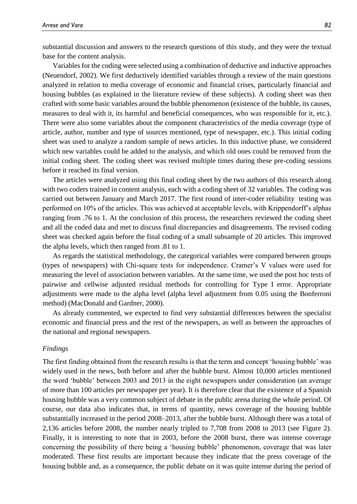substantial discussion and answers to the research questions of this study, and they were the textual base for the content analysis.

Variables for the coding were selected using a combination of deductive and inductive approaches (Neuendorf, 2002). We first deductively identified variables through a review of the main questions analyzed in relation to media coverage of economic and financial crises, particularly financial and housing bubbles (as explained in the literature review of these subjects). A coding sheet was then crafted with some basic variables around the bubble phenomenon (existence of the bubble, its causes, measures to deal with it, its harmful and beneficial consequences, who was responsible for it, etc.). There were also some variables about the component characteristics of the media coverage (type of article, author, number and type of sources mentioned, type of newspaper, etc.). This initial coding sheet was used to analyze a random sample of news articles. In this inductive phase, we considered which new variables could be added to the analysis, and which old ones could be removed from the initial coding sheet. The coding sheet was revised multiple times during these pre-coding sessions before it reached its final version.

The articles were analyzed using this final coding sheet by the two authors of this research along with two coders trained in content analysis, each with a coding sheet of 32 variables. The coding was carried out between January and March 2017. The first round of inter-coder reliability testing was performed on 10% of the articles. This was achieved at acceptable levels, with Krippendorff's alphas ranging from .76 to 1. At the conclusion of this process, the researchers reviewed the coding sheet and all the coded data and met to discuss final discrepancies and disagreements. The revised coding sheet was checked again before the final coding of a small subsample of 20 articles. This improved the alpha levels, which then ranged from .81 to 1.

As regards the statistical methodology, the categorical variables were compared between groups (types of newspapers) with Chi-square tests for independence. Cramer's V values were used for measuring the level of association between variables. At the same time, we used the post hoc tests of pairwise and cellwise adjusted residual methods for controlling for Type I error. Appropriate adjustments were made to the alpha level (alpha level adjustment from 0.05 using the Bonferroni method) (MacDonald and Gardner, 2000).

As already commented, we expected to find very substantial differences between the specialist economic and financial press and the rest of the newspapers, as well as between the approaches of the national and regional newspapers.

#### *Findings*

The first finding obtained from the research results is that the term and concept 'housing bubble' was widely used in the news, both before and after the bubble burst. Almost 10,000 articles mentioned the word 'bubble' between 2003 and 2013 in the eight newspapers under consideration (an average of more than 100 articles per newspaper per year). It is therefore clear that the existence of a Spanish housing bubble was a very common subject of debate in the public arena during the whole period. Of course, our data also indicates that, in terms of quantity, news coverage of the housing bubble substantially increased in the period 2008–2013, after the bubble burst. Although there was a total of 2,136 articles before 2008, the number nearly tripled to 7,708 from 2008 to 2013 (see Figure 2). Finally, it is interesting to note that in 2003, before the 2008 burst, there was intense coverage concerning the possibility of there being a 'housing bubble' phenomenon, coverage that was later moderated. These first results are important because they indicate that the press coverage of the housing bubble and, as a consequence, the public debate on it was quite intense during the period of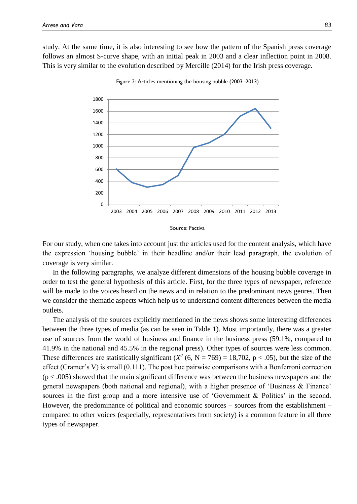study. At the same time, it is also interesting to see how the pattern of the Spanish press coverage follows an almost S-curve shape, with an initial peak in 2003 and a clear inflection point in 2008. This is very similar to the evolution described by Mercille (2014) for the Irish press coverage.



Figure 2: Articles mentioning the housing bubble (2003–2013)

For our study, when one takes into account just the articles used for the content analysis, which have the expression 'housing bubble' in their headline and/or their lead paragraph, the evolution of coverage is very similar.

In the following paragraphs, we analyze different dimensions of the housing bubble coverage in order to test the general hypothesis of this article. First, for the three types of newspaper, reference will be made to the voices heard on the news and in relation to the predominant news genres. Then we consider the thematic aspects which help us to understand content differences between the media outlets.

The analysis of the sources explicitly mentioned in the news shows some interesting differences between the three types of media (as can be seen in Table 1). Most importantly, there was a greater use of sources from the world of business and finance in the business press (59.1%, compared to 41.9% in the national and 45.5% in the regional press). Other types of sources were less common. These differences are statistically significant  $(X^2 (6, N = 769) = 18,702, p < .05)$ , but the size of the effect (Cramer's V) is small (0.111). The post hoc pairwise comparisons with a Bonferroni correction  $(p < .005)$  showed that the main significant difference was between the business newspapers and the general newspapers (both national and regional), with a higher presence of 'Business & Finance' sources in the first group and a more intensive use of 'Government & Politics' in the second. However, the predominance of political and economic sources – sources from the establishment – compared to other voices (especially, representatives from society) is a common feature in all three types of newspaper.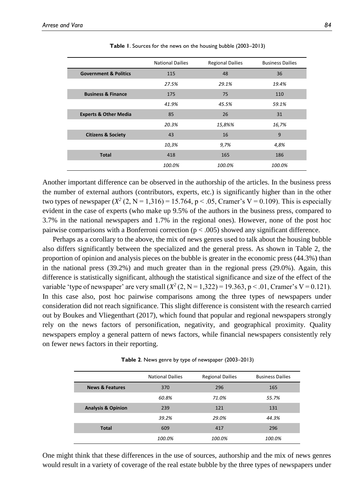|                                  | <b>National Dailies</b> | <b>Regional Dailies</b> | <b>Business Dailies</b> |
|----------------------------------|-------------------------|-------------------------|-------------------------|
| <b>Government &amp; Politics</b> | 115                     | 48                      | 36                      |
|                                  | 27.5%                   | 29.1%                   | 19.4%                   |
| <b>Business &amp; Finance</b>    | 175                     | 75                      | 110                     |
|                                  | 41.9%                   | 45.5%                   | 59.1%                   |
| <b>Experts &amp; Other Media</b> | 85                      | 26                      | 31                      |
|                                  | 20.3%                   | 15,8%%                  | 16,7%                   |
| <b>Citizens &amp; Society</b>    | 43                      | 16                      | 9                       |
|                                  | 10,3%                   | 9,7%                    | 4,8%                    |
| <b>Total</b>                     | 418                     | 165                     | 186                     |
|                                  | 100.0%                  | 100.0%                  | 100.0%                  |

**Table 1**. Sources for the news on the housing bubble (2003–2013)

Another important difference can be observed in the authorship of the articles. In the business press the number of external authors (contributors, experts, etc.) is significantly higher than in the other two types of newspaper  $(X^2 (2, N = 1,316) = 15.764, p < .05$ , Cramer's V = 0.109). This is especially evident in the case of experts (who make up 9.5% of the authors in the business press, compared to 3.7% in the national newspapers and 1.7% in the regional ones). However, none of the post hoc pairwise comparisons with a Bonferroni correction ( $p < .005$ ) showed any significant difference.

Perhaps as a corollary to the above, the mix of news genres used to talk about the housing bubble also differs significantly between the specialized and the general press. As shown in Table 2, the proportion of opinion and analysis pieces on the bubble is greater in the economic press (44.3%) than in the national press (39.2%) and much greater than in the regional press (29.0%). Again, this difference is statistically significant, although the statistical significance and size of the effect of the variable 'type of newspaper' are very small  $(X^2 (2, N = 1,322) = 19.363, p < .01,$  Cramer's V = 0.121). In this case also, post hoc pairwise comparisons among the three types of newspapers under consideration did not reach significance. This slight difference is consistent with the research carried out by Boukes and Vliegenthart (2017), which found that popular and regional newspapers strongly rely on the news factors of personification, negativity, and geographical proximity. Quality newspapers employ a general pattern of news factors, while financial newspapers consistently rely on fewer news factors in their reporting.

| Table 2. News genre by type of newspaper (2003–2013) |  |  |
|------------------------------------------------------|--|--|
|------------------------------------------------------|--|--|

|                               | <b>National Dailies</b> | <b>Regional Dailies</b> | <b>Business Dailies</b> |
|-------------------------------|-------------------------|-------------------------|-------------------------|
| <b>News &amp; Features</b>    | 370                     | 296                     | 165                     |
|                               | 60.8%                   | 71.0%                   | 55.7%                   |
| <b>Analysis &amp; Opinion</b> | 239                     | 121                     | 131                     |
|                               | 39.2%                   | 29.0%                   | 44.3%                   |
| <b>Total</b>                  | 609                     | 417                     | 296                     |
|                               | 100.0%                  | 100.0%                  | 100.0%                  |

One might think that these differences in the use of sources, authorship and the mix of news genres would result in a variety of coverage of the real estate bubble by the three types of newspapers under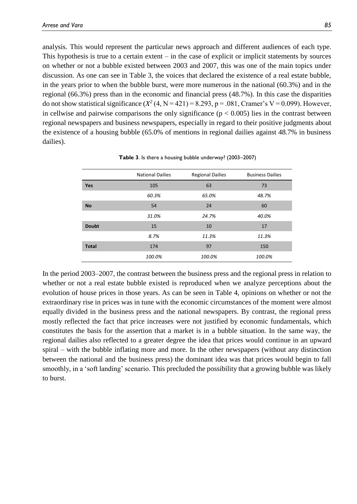analysis. This would represent the particular news approach and different audiences of each type. This hypothesis is true to a certain extent – in the case of explicit or implicit statements by sources on whether or not a bubble existed between 2003 and 2007, this was one of the main topics under discussion. As one can see in Table 3, the voices that declared the existence of a real estate bubble, in the years prior to when the bubble burst, were more numerous in the national (60.3%) and in the regional (66.3%) press than in the economic and financial press (48.7%). In this case the disparities do not show statistical significance  $(X^2(4, N = 421) = 8.293$ ,  $p = .081$ , Cramer's V = 0.099). However, in cellwise and pairwise comparisons the only significance  $(p < 0.005)$  lies in the contrast between regional newspapers and business newspapers, especially in regard to their positive judgments about the existence of a housing bubble (65.0% of mentions in regional dailies against 48.7% in business dailies).

|              | <b>National Dailies</b> | <b>Regional Dailies</b> | <b>Business Dailies</b> |
|--------------|-------------------------|-------------------------|-------------------------|
| Yes          | 105                     | 63                      | 73                      |
|              | 60.3%                   | 65.0%                   | 48.7%                   |
| <b>No</b>    | 54                      | 24                      | 60                      |
|              | 31.0%                   | 24.7%                   | 40.0%                   |
| <b>Doubt</b> | 15                      | 10                      | 17                      |
|              | 8.7%                    | 11.3%                   | 11.3%                   |
| <b>Total</b> | 174                     | 97                      | 150                     |
|              | 100.0%                  | 100.0%                  | 100.0%                  |

**Table 3**. Is there a housing bubble underway? (2003–2007)

In the period 2003–2007, the contrast between the business press and the regional press in relation to whether or not a real estate bubble existed is reproduced when we analyze perceptions about the evolution of house prices in those years. As can be seen in Table 4, opinions on whether or not the extraordinary rise in prices was in tune with the economic circumstances of the moment were almost equally divided in the business press and the national newspapers. By contrast, the regional press mostly reflected the fact that price increases were not justified by economic fundamentals, which constitutes the basis for the assertion that a market is in a bubble situation. In the same way, the regional dailies also reflected to a greater degree the idea that prices would continue in an upward spiral – with the bubble inflating more and more. In the other newspapers (without any distinction between the national and the business press) the dominant idea was that prices would begin to fall smoothly, in a 'soft landing' scenario. This precluded the possibility that a growing bubble was likely to burst.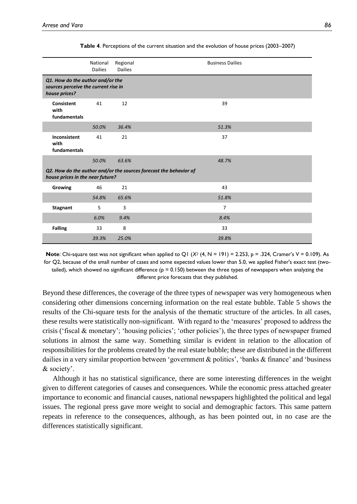|                                                                                                       | National<br><b>Dailies</b> | Regional<br><b>Dailies</b> | <b>Business Dailies</b> |  |  |
|-------------------------------------------------------------------------------------------------------|----------------------------|----------------------------|-------------------------|--|--|
| Q1. How do the author and/or the<br>sources perceive the current rise in<br>house prices?             |                            |                            |                         |  |  |
| <b>Consistent</b><br>with<br>fundamentals                                                             | 41                         | 12                         | 39                      |  |  |
|                                                                                                       | 50.0%                      | 36.4%                      | 51.3%                   |  |  |
| Inconsistent<br>with<br>fundamentals                                                                  | 41                         | 21                         | 37                      |  |  |
|                                                                                                       | 50.0%                      | 63.6%                      | 48.7%                   |  |  |
| Q2. How do the author and/or the sources forecast the behavior of<br>house prices in the near future? |                            |                            |                         |  |  |
| Growing                                                                                               | 46                         | 21                         | 43                      |  |  |
|                                                                                                       | 54.8%                      | 65.6%                      | 51.8%                   |  |  |
| <b>Stagnant</b>                                                                                       | 5                          | 3                          | $\overline{7}$          |  |  |
|                                                                                                       | 6.0%                       | 9.4%                       | 8.4%                    |  |  |
| <b>Falling</b>                                                                                        | 33                         | 8                          | 33                      |  |  |
|                                                                                                       | 39.3%                      | 25.0%                      | 39.8%                   |  |  |

**Table 4**. Perceptions of the current situation and the evolution of house prices (2003–2007)

**Note**: Chi-square test was not significant when applied to Q1 ( $X^2$  (4, N = 191) = 2.253, p = .324, Cramer's V = 0.109). As for Q2, because of the small number of cases and some expected values lower than 5.0, we applied Fisher's exact test (twotailed), which showed no significant difference ( $p = 0.150$ ) between the three types of newspapers when analyzing the different price forecasts that they published.

Beyond these differences, the coverage of the three types of newspaper was very homogeneous when considering other dimensions concerning information on the real estate bubble. Table 5 shows the results of the Chi-square tests for the analysis of the thematic structure of the articles. In all cases, these results were statistically non-significant. With regard to the 'measures' proposed to address the crisis ('fiscal & monetary'; 'housing policies'; 'other policies'), the three types of newspaper framed solutions in almost the same way. Something similar is evident in relation to the allocation of responsibilities for the problems created by the real estate bubble; these are distributed in the different dailies in a very similar proportion between 'government & politics', 'banks & finance' and 'business & society'.

Although it has no statistical significance, there are some interesting differences in the weight given to different categories of causes and consequences. While the economic press attached greater importance to economic and financial causes, national newspapers highlighted the political and legal issues. The regional press gave more weight to social and demographic factors. This same pattern repeats in reference to the consequences, although, as has been pointed out, in no case are the differences statistically significant.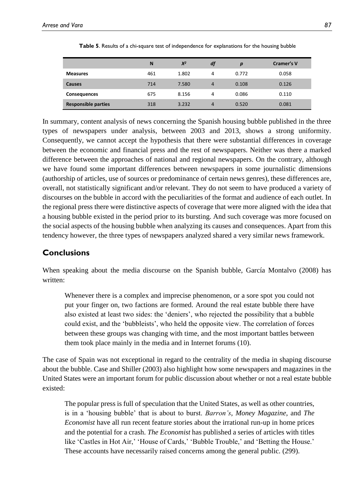|                            | N   | $X^2$ | df | p     | Cramer's V |
|----------------------------|-----|-------|----|-------|------------|
| <b>Measures</b>            | 461 | 1.802 | 4  | 0.772 | 0.058      |
| <b>Causes</b>              | 714 | 7.580 | 4  | 0.108 | 0.126      |
| <b>Consequences</b>        | 675 | 8.156 | 4  | 0.086 | 0.110      |
| <b>Responsible parties</b> | 318 | 3.232 | 4  | 0.520 | 0.081      |

**Table 5**. Results of a chi-square test of independence for explanations for the housing bubble

In summary, content analysis of news concerning the Spanish housing bubble published in the three types of newspapers under analysis, between 2003 and 2013, shows a strong uniformity. Consequently, we cannot accept the hypothesis that there were substantial differences in coverage between the economic and financial press and the rest of newspapers. Neither was there a marked difference between the approaches of national and regional newspapers. On the contrary, although we have found some important differences between newspapers in some journalistic dimensions (authorship of articles, use of sources or predominance of certain news genres), these differences are, overall, not statistically significant and/or relevant. They do not seem to have produced a variety of discourses on the bubble in accord with the peculiarities of the format and audience of each outlet. In the regional press there were distinctive aspects of coverage that were more aligned with the idea that a housing bubble existed in the period prior to its bursting. And such coverage was more focused on the social aspects of the housing bubble when analyzing its causes and consequences. Apart from this tendency however, the three types of newspapers analyzed shared a very similar news framework.

## **Conclusions**

When speaking about the media discourse on the Spanish bubble, García Montalvo (2008) has written:

Whenever there is a complex and imprecise phenomenon, or a sore spot you could not put your finger on, two factions are formed. Around the real estate bubble there have also existed at least two sides: the 'deniers', who rejected the possibility that a bubble could exist, and the 'bubbleists', who held the opposite view. The correlation of forces between these groups was changing with time, and the most important battles between them took place mainly in the media and in Internet forums (10).

The case of Spain was not exceptional in regard to the centrality of the media in shaping discourse about the bubble. Case and Shiller (2003) also highlight how some newspapers and magazines in the United States were an important forum for public discussion about whether or not a real estate bubble existed:

The popular press is full of speculation that the United States, as well as other countries, is in a 'housing bubble' that is about to burst. *Barron's*, *Money Magazine*, and *The Economist* have all run recent feature stories about the irrational run-up in home prices and the potential for a crash. *The Economist* has published a series of articles with titles like 'Castles in Hot Air,' 'House of Cards,' 'Bubble Trouble,' and 'Betting the House.' These accounts have necessarily raised concerns among the general public. (299).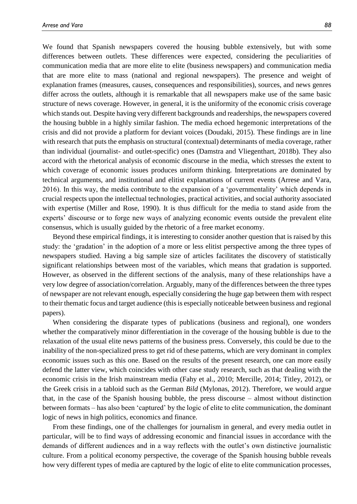We found that Spanish newspapers covered the housing bubble extensively, but with some differences between outlets. These differences were expected, considering the peculiarities of communication media that are more elite to elite (business newspapers) and communication media that are more elite to mass (national and regional newspapers). The presence and weight of explanation frames (measures, causes, consequences and responsibilities), sources, and news genres differ across the outlets, although it is remarkable that all newspapers make use of the same basic structure of news coverage. However, in general, it is the uniformity of the economic crisis coverage which stands out. Despite having very different backgrounds and readerships, the newspapers covered the housing bubble in a highly similar fashion. The media echoed hegemonic interpretations of the crisis and did not provide a platform for deviant voices (Doudaki, 2015). These findings are in line with research that puts the emphasis on structural (contextual) determinants of media coverage, rather than individual (journalist- and outlet-specific) ones (Damstra and Vliegenthart, 2018b). They also accord with the rhetorical analysis of economic discourse in the media, which stresses the extent to which coverage of economic issues produces uniform thinking. Interpretations are dominated by technical arguments, and institutional and elitist explanations of current events (Arrese and Vara, 2016). In this way, the media contribute to the expansion of a 'governmentality' which depends in crucial respects upon the intellectual technologies, practical activities, and social authority associated with expertise (Miller and Rose, 1990). It is thus difficult for the media to stand aside from the experts' discourse or to forge new ways of analyzing economic events outside the prevalent elite consensus, which is usually guided by the rhetoric of a free market economy.

Beyond these empirical findings, it is interesting to consider another question that is raised by this study: the 'gradation' in the adoption of a more or less elitist perspective among the three types of newspapers studied. Having a big sample size of articles facilitates the discovery of statistically significant relationships between most of the variables, which means that gradation is supported. However, as observed in the different sections of the analysis, many of these relationships have a very low degree of association/correlation. Arguably, many of the differences between the three types of newspaper are not relevant enough, especially considering the huge gap between them with respect to their thematic focus and target audience (this is especially noticeable between business and regional papers).

When considering the disparate types of publications (business and regional), one wonders whether the comparatively minor differentiation in the coverage of the housing bubble is due to the relaxation of the usual elite news patterns of the business press. Conversely, this could be due to the inability of the non-specialized press to get rid of these patterns, which are very dominant in complex economic issues such as this one. Based on the results of the present research, one can more easily defend the latter view, which coincides with other case study research, such as that dealing with the economic crisis in the Irish mainstream media (Fahy et al., 2010; Mercille, 2014; Titley, 2012), or the Greek crisis in a tabloid such as the German *Bild* (Mylonas, 2012). Therefore, we would argue that, in the case of the Spanish housing bubble, the press discourse – almost without distinction between formats – has also been 'captured' by the logic of elite to elite communication, the dominant logic of news in high politics, economics and finance.

From these findings, one of the challenges for journalism in general, and every media outlet in particular, will be to find ways of addressing economic and financial issues in accordance with the demands of different audiences and in a way reflects with the outlet's own distinctive journalistic culture. From a political economy perspective, the coverage of the Spanish housing bubble reveals how very different types of media are captured by the logic of elite to elite communication processes,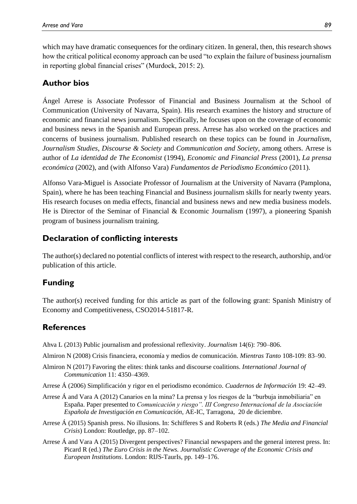which may have dramatic consequences for the ordinary citizen. In general, then, this research shows how the critical political economy approach can be used "to explain the failure of business journalism in reporting global financial crises" (Murdock, 2015: 2).

# **Author bios**

Ángel Arrese is Associate Professor of Financial and Business Journalism at the School of Communication (University of Navarra, Spain). His research examines the history and structure of economic and financial news journalism. Specifically, he focuses upon on the coverage of economic and business news in the Spanish and European press. Arrese has also worked on the practices and concerns of business journalism. Published research on these topics can be found in *Journalism*, *Journalism Studies*, *Discourse & Society* and *Communication and Society*, among others. Arrese is author of *La identidad de The Economist* (1994), *Economic and Financial Press* (2001), *La prensa económica* (2002), and (with Alfonso Vara) *Fundamentos de Periodismo Económico* (2011).

Alfonso Vara-Miguel is Associate Professor of Journalism at the University of Navarra (Pamplona, Spain), where he has been teaching Financial and Business journalism skills for nearly twenty years. His research focuses on media effects, financial and business news and new media business models. He is Director of the Seminar of Financial & Economic Journalism (1997), a pioneering Spanish program of business journalism training.

## **Declaration of conflicting interests**

The author(s) declared no potential conflicts of interest with respect to the research, authorship, and/or publication of this article.

# **Funding**

The author(s) received funding for this article as part of the following grant: Spanish Ministry of Economy and Competitiveness, CSO2014-51817-R.

## **References**

- Ahva L (2013) Public journalism and professional reflexivity. *Journalism* 14(6): 790–806.
- Almiron N (2008) Crisis financiera, economía y medios de comunicación. *Mientras Tanto* 108-109: 83–90.
- Almiron N (2017) Favoring the elites: think tanks and discourse coalitions. *International Journal of Communication* 11: 4350–4369.
- Arrese Á (2006) Simplificación y rigor en el periodismo económico. *Cuadernos de Información* 19: 42–49.
- Arrese Á and Vara A (2012) Canarios en la mina? La prensa y los riesgos de la "burbuja inmobiliaria" en España. Paper presented to *Comunicación y riesgo". III Congreso Internacional de la Asociación Española de Investigación en Comunicación*, AE-IC, Tarragona, 20 de diciembre.
- Arrese Á (2015) Spanish press. No illusions. In: Schifferes S and Roberts R (eds.) *The Media and Financial Crisis*) London: Routledge, pp. 87–102.
- Arrese Á and Vara A (2015) Divergent perspectives? Financial newspapers and the general interest press. In: Picard R (ed.) *The Euro Crisis in the News. Journalistic Coverage of the Economic Crisis and European Institutions*. London: RIJS-TaurIs, pp. 149–176.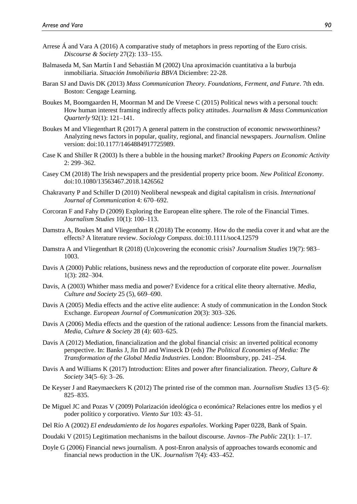- Arrese Á and Vara A (2016) A comparative study of metaphors in press reporting of the Euro crisis. *Discourse & Society* 27(2): 133–155.
- Balmaseda M, San Martín I and Sebastián M (2002) Una aproximación cuantitativa a la burbuja inmobiliaria. *Situación Inmobiliaria BBVA* Diciembre: 22-28.
- Baran SJ and Davis DK (2013) *Mass Communication Theory. Foundations, Ferment, and Future*. 7th edn. Boston: Cengage Learning.
- Boukes M, Boomgaarden H, Moorman M and De Vreese C (2015) Political news with a personal touch: How human interest framing indirectly affects policy attitudes. *Journalism & Mass Communication Quarterly* 92(1): 121–141.
- Boukes M and Vliegenthart R (2017) A general pattern in the construction of economic newsworthiness? Analyzing news factors in popular, quality, regional, and financial newspapers. *Journalism*. Online version: doi:10.1177/1464884917725989.
- Case K and Shiller R (2003) Is there a bubble in the housing market? *Brooking Papers on Economic Activity* 2: 299–362.
- Casey CM (2018) The Irish newspapers and the presidential property price boom. *New Political Economy*. doi:10.1080/13563467.2018.1426562
- Chakravarty P and Schiller D (2010) Neoliberal newspeak and digital capitalism in crisis. *International Journal of Communication* 4: 670–692.
- Corcoran F and Fahy D (2009) Exploring the European elite sphere. The role of the Financial Times. *Journalism Studies* 10(1): 100–113.
- Damstra A, Boukes M and Vliegenthart R (2018) The economy. How do the media cover it and what are the effects? A literature review. *Sociology Compass*. doi:10.1111/soc4.12579
- Damstra A and Vliegenthart R (2018) (Un)covering the economic crisis? *Journalism Studies* 19(7): 983– 1003.
- Davis A (2000) Public relations, business news and the reproduction of corporate elite power. *Journalism* 1(3): 282–304.
- Davis, A (2003) Whither mass media and power? Evidence for a critical elite theory alternative. *Media, Culture and Society* 25 (5), 669–690.
- Davis A (2005) Media effects and the active elite audience: A study of communication in the London Stock Exchange. *European Journal of Communication* 20(3): 303–326.
- Davis A (2006) Media effects and the question of the rational audience: Lessons from the financial markets. *Media, Culture & Society* 28 (4): 603–625.
- Davis A (2012) Mediation, financialization and the global financial crisis: an inverted political economy perspective. In: Banks J, Jin DJ and Winseck D (eds) *The Political Economies of Media: The Transformation of the Global Media Industries*. London: Bloomsbury, pp. 241–254.
- Davis A and Williams K (2017) Introduction: Elites and power after financialization. *Theory, Culture & Society* 34(5–6): 3–26.
- De Keyser J and Raeymaeckers K (2012) The printed rise of the common man. *Journalism Studies* 13 (5–6): 825–835.
- De Miguel JC and Pozas V (2009) Polarización ideológica o económica? Relaciones entre los medios y el poder político y corporativo. *Viento Sur* 103: 43–51.
- Del Río A (2002) *El endeudamiento de los hogares españoles*. Working Paper 0228, Bank of Spain.
- Doudaki V (2015) Legitimation mechanisms in the bailout discourse. *Javnos–The Public* 22(1): 1–17.
- Doyle G (2006) Financial news journalism. A post-Enron analysis of approaches towards economic and financial news production in the UK. *Journalism* 7(4): 433–452.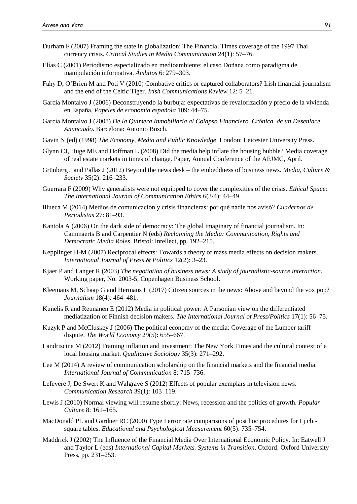- Durham F (2007) Framing the state in globalization: The Financial Times coverage of the 1997 Thai currency crisis. *Critical Studies in Media Communication* 24(1): 57–76.
- Elías C (2001) Periodismo especializado en medioambiente: el caso Doñana como paradigma de manipulación informativa. *Ámbitos* 6: 279–303.
- Fahy D, O'Brien M and Poti V (2010) Combative critics or captured collaborators? Irish financial journalism and the end of the Celtic Tiger. *Irish Communications Review* 12: 5–21.
- García Montalvo J (2006) Deconstruyendo la burbuja: expectativas de revalorización y precio de la vivienda en España. *Papeles de economía española* 109: 44–75.
- García Montalvo J (2008) *De la Quimera Inmobiliaria al Colapso Financiero. Crónica de un Desenlace Anunciado*. Barcelona: Antonio Bosch.
- Gavin N (ed) (1998) *The Economy, Media and Public Knowledge*. London: Leicester University Press.
- Glynn CJ, Huge ME and Hoffman L (2008) Did the media help inflate the housing bubble? Media coverage of real estate markets in times of change. Paper, Annual Conference of the AEJMC, April.
- Grünberg J and Pallas J (2012) Beyond the news desk the embeddness of business news. *Media, Culture & Society* 35(2): 216–233.
- Guerrara F (2009) Why generalists were not equipped to cover the complexities of the crisis. *Ethical Space: The International Journal of Communication Ethics* 6(3/4): 44–49.
- Illueca M (2014) Medios de comunicación y crisis financieras: por qué nadie nos avisó? *Cuadernos de Periodistas* 27: 81–93.
- Kantola A (2006) On the dark side of democracy: The global imaginary of financial journalism. In: Cammaerts B and Carpentier N (eds) *Reclaiming the Media: Communication, Rights and Democratic Media Roles*. Bristol: Intellect, pp. 192–215.
- Kepplinger H-M (2007) Reciprocal effects: Towards a theory of mass media effects on decision makers. *International Journal of Press & Politics* 12(2): 3–23.
- Kjaer P and Langer R (2003) *The negotiation of business news: A study of journalistic-source interaction*. Working paper, No. 2003-5, Copenhagen Business School.
- Kleemans M, Schaap G and Hermans L (2017) Citizen sources in the news: Above and beyond the vox pop? *Journalism* 18(4): 464–481.
- Kunelis R and Reunanen E (2012) Media in political power: A Parsonian view on the differentiated mediatization of Finnish decision makers. *The International Journal of Press/Politics* 17(1): 56–75.
- Kuzyk P and McCluskey J (2006) The political economy of the media: Coverage of the Lumber tariff dispute. *The World Economy* 29(5): 655–667.
- Landriscina M (2012) Framing inflation and investment: The New York Times and the cultural context of a local housing market. *Qualitative Sociology* 35(3): 271–292.
- Lee M (2014) A review of communication scholarship on the financial markets and the financial media. *International Journal of Communication* 8: 715–736.
- Lefevere J, De Swert K and Walgrave S (2012) Effects of popular exemplars in television news. *Communication Research* 39(1): 103–119.
- Lewis J (2010) Normal viewing will resume shortly: News, recession and the politics of growth. *Popular Culture* 8: 161–165.
- MacDonald PL and Gardner RC (2000) Type I error rate comparisons of post hoc procedures for I j chisquare tables. *Educational and Psychological Measurement* 60(5): 735–754.
- Maddrick J (2002) The Influence of the Financial Media Over International Economic Policy. In: Eatwell J and Taylor L (eds) *International Capital Markets. Systems in Transition*. Oxford: Oxford University Press, pp. 231–253.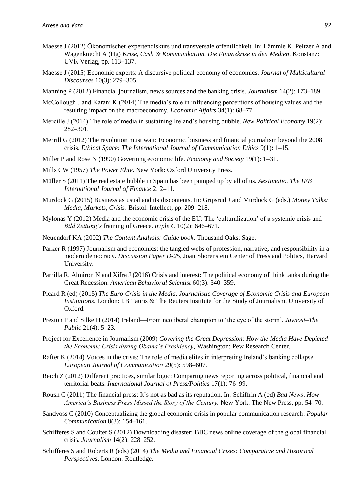- Maesse J (2012) Ökonomischer expertendiskurs und transversale offentlichkeit. In: Lämmle K, Peltzer A and Wagenknecht A (Hg) *Krise, Cash & Kommunikation. Die Finanzkrise in den Medien*. Konstanz: UVK Verlag, pp. 113–137.
- Maesse J (2015) Economic experts: A discursive political economy of economics. *Journal of Multicultural Discourses* 10(3): 279–305.
- Manning P (2012) Financial journalism, news sources and the banking crisis. *Journalism* 14(2): 173–189.
- McCollough J and Karani K (2014) The media's role in influencing perceptions of housing values and the resulting impact on the macroeconomy. *Economic Affairs* 34(1): 68–77.
- Mercille J (2014) The role of media in sustaining Ireland's housing bubble. *New Political Economy* 19(2): 282–301.
- Merrill G (2012) The revolution must wait: Economic, business and financial journalism beyond the 2008 crisis. *Ethical Space: The International Journal of Communication Ethics* 9(1): 1–15.
- Miller P and Rose N (1990) Governing economic life. *Economy and Society* 19(1): 1–31.
- Mills CW (1957) *The Power Elite*. New York: Oxford University Press.
- Müller S (2011) The real estate bubble in Spain has been pumped up by all of us. *Aestimatio. The IEB International Journal of Finance* 2: 2–11.
- Murdock G (2015) Business as usual and its discontents. In: Gripsrud J and Murdock G (eds.) *Money Talks: Media, Markets, Crisis*. Bristol: Intellect, pp. 209–218.
- Mylonas Y (2012) Media and the economic crisis of the EU: The 'culturalization' of a systemic crisis and *Bild Zeitung's* framing of Greece. *triple C* 10(2): 646–671.
- Neuendorf KA (2002) *The Content Analysis: Guide book*. Thousand Oaks: Sage.
- Parker R (1997) Journalism and economics: the tangled webs of profession, narrative, and responsibility in a modern democracy. *Discussion Paper D-25*, Joan Shorenstein Center of Press and Politics, Harvard University.
- Parrilla R, Almiron N and Xifra J (2016) Crisis and interest: The political economy of think tanks during the Great Recession. *American Behavioral Scientist* 60(3): 340–359.
- Picard R (ed) (2015) *The Euro Crisis in the Media. Journalistic Coverage of Economic Crisis and European Institutions*. London: I.B Tauris & The Reuters Institute for the Study of Journalism, University of Oxford.
- Preston P and Silke H (2014) Ireland—From neoliberal champion to 'the eye of the storm'. *Javnost–The Public* 21(4): 5–23.
- Project for Excellence in Journalism (2009) *Covering the Great Depression: How the Media Have Depicted the Economic Crisis during Obama's Presidency*, Washington: Pew Research Center.
- Rafter K (2014) Voices in the crisis: The role of media elites in interpreting Ireland's banking collapse. *European Journal of Communication* 29(5): 598–607.
- Reich Z (2012) Different practices, similar logic: Comparing news reporting across political, financial and territorial beats. *International Journal of Press/Politics* 17(1): 76–99.
- Roush C (2011) The financial press: It's not as bad as its reputation. In: Schiffrin A (ed) *Bad News*. *How America's Business Press Missed the Story of the Century.* New York: The New Press, pp. 54–70.
- Sandvoss C (2010) Conceptualizing the global economic crisis in popular communication research. *Popular Communication* 8(3): 154–161.
- Schifferes S and Coulter S (2012) Downloading disaster: BBC news online coverage of the global financial crisis. *Journalism* 14(2): 228–252.
- Schifferes S and Roberts R (eds) (2014) *The Media and Financial Crises: Comparative and Historical Perspectives*. London: Routledge.